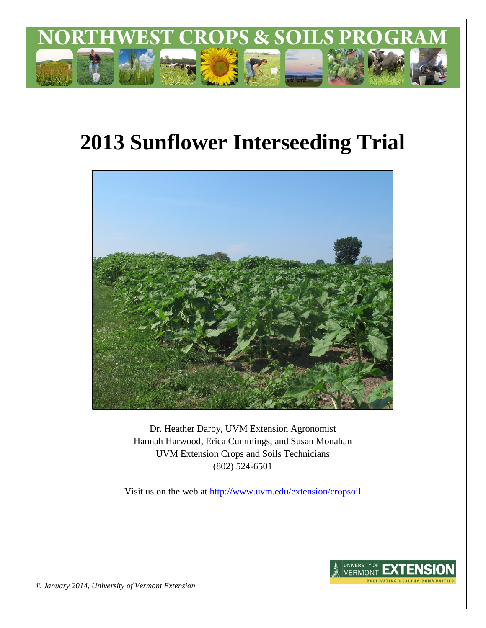

# **2013 Sunflower Interseeding Trial**



Dr. Heather Darby, UVM Extension Agronomist Hannah Harwood, Erica Cummings, and Susan Monahan UVM Extension Crops and Soils Technicians (802) 524-6501

Visit us on the web at <http://www.uvm.edu/extension/cropsoil>



*© January 2014, University of Vermont Extension*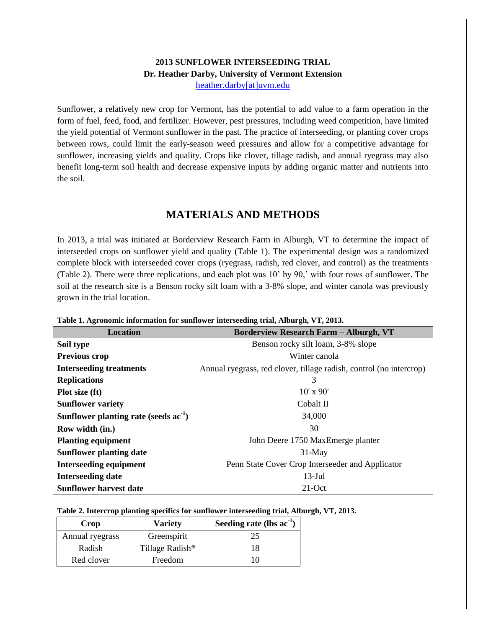### **2013 SUNFLOWER INTERSEEDING TRIAL Dr. Heather Darby, University of Vermont Extension** [heather.darby\[at\]uvm.edu](mailto:heather.darby@uvm.edu?subject=2013%20Sunflower%20Interseeding)

Sunflower, a relatively new crop for Vermont, has the potential to add value to a farm operation in the form of fuel, feed, food, and fertilizer. However, pest pressures, including weed competition, have limited the yield potential of Vermont sunflower in the past. The practice of interseeding, or planting cover crops between rows, could limit the early-season weed pressures and allow for a competitive advantage for sunflower, increasing yields and quality. Crops like clover, tillage radish, and annual ryegrass may also benefit long-term soil health and decrease expensive inputs by adding organic matter and nutrients into the soil.

# **MATERIALS AND METHODS**

In 2013, a trial was initiated at Borderview Research Farm in Alburgh, VT to determine the impact of interseeded crops on sunflower yield and quality (Table 1). The experimental design was a randomized complete block with interseeded cover crops (ryegrass, radish, red clover, and control) as the treatments (Table 2). There were three replications, and each plot was 10' by 90,' with four rows of sunflower. The soil at the research site is a Benson rocky silt loam with a 3-8% slope, and winter canola was previously grown in the trial location.

| Location                                | <b>Borderview Research Farm - Alburgh, VT</b>                       |  |  |  |  |
|-----------------------------------------|---------------------------------------------------------------------|--|--|--|--|
| Soil type                               | Benson rocky silt loam, 3-8% slope                                  |  |  |  |  |
| <b>Previous crop</b>                    | Winter canola                                                       |  |  |  |  |
| <b>Interseeding treatments</b>          | Annual ryegrass, red clover, tillage radish, control (no intercrop) |  |  |  |  |
| <b>Replications</b>                     | 3                                                                   |  |  |  |  |
| Plot size (ft)                          | $10'$ x $90'$                                                       |  |  |  |  |
| <b>Sunflower variety</b>                | Cobalt II                                                           |  |  |  |  |
| Sunflower planting rate (seeds $ac-1$ ) | 34,000                                                              |  |  |  |  |
| Row width (in.)                         | 30                                                                  |  |  |  |  |
| <b>Planting equipment</b>               | John Deere 1750 MaxEmerge planter                                   |  |  |  |  |
| <b>Sunflower planting date</b>          | $31$ -May                                                           |  |  |  |  |
| <b>Interseeding equipment</b>           | Penn State Cover Crop Interseeder and Applicator                    |  |  |  |  |
| <b>Interseeding date</b>                | $13$ -Jul                                                           |  |  |  |  |
| <b>Sunflower harvest date</b>           | $21$ -Oct                                                           |  |  |  |  |

**Table 1. Agronomic information for sunflower interseeding trial, Alburgh, VT, 2013.**

#### **Table 2. Intercrop planting specifics for sunflower interseeding trial, Alburgh, VT, 2013.**

| Crop            | <b>Variety</b>              | Seeding rate (lbs $ac^{-1}$ ) |  |  |
|-----------------|-----------------------------|-------------------------------|--|--|
| Annual ryegrass | Greenspirit                 | 25                            |  |  |
| Radish          | Tillage Radish <sup>®</sup> | 18                            |  |  |
| Red clover      | Freedom                     |                               |  |  |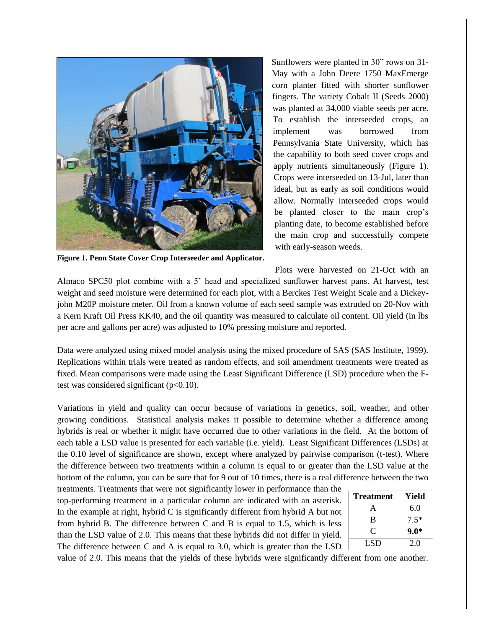

**Figure 1. Penn State Cover Crop Interseeder and Applicator.**

Sunflowers were planted in 30" rows on 31- May with a John Deere 1750 MaxEmerge corn planter fitted with shorter sunflower fingers. The variety Cobalt II (Seeds 2000) was planted at 34,000 viable seeds per acre. To establish the interseeded crops, an implement was borrowed from Pennsylvania State University, which has the capability to both seed cover crops and apply nutrients simultaneously (Figure 1). Crops were interseeded on 13-Jul, later than ideal, but as early as soil conditions would allow. Normally interseeded crops would be planted closer to the main crop's planting date, to become established before the main crop and successfully compete with early-season weeds.

Plots were harvested on 21-Oct with an

Almaco SPC50 plot combine with a 5' head and specialized sunflower harvest pans. At harvest, test weight and seed moisture were determined for each plot, with a Berckes Test Weight Scale and a Dickeyjohn M20P moisture meter. Oil from a known volume of each seed sample was extruded on 20-Nov with a Kern Kraft Oil Press KK40, and the oil quantity was measured to calculate oil content. Oil yield (in lbs per acre and gallons per acre) was adjusted to 10% pressing moisture and reported.

Data were analyzed using mixed model analysis using the mixed procedure of SAS (SAS Institute, 1999). Replications within trials were treated as random effects, and soil amendment treatments were treated as fixed. Mean comparisons were made using the Least Significant Difference (LSD) procedure when the Ftest was considered significant  $(p<0.10)$ .

Variations in yield and quality can occur because of variations in genetics, soil, weather, and other growing conditions. Statistical analysis makes it possible to determine whether a difference among hybrids is real or whether it might have occurred due to other variations in the field. At the bottom of each table a LSD value is presented for each variable (i.e. yield). Least Significant Differences (LSDs) at the 0.10 level of significance are shown, except where analyzed by pairwise comparison (t-test). Where the difference between two treatments within a column is equal to or greater than the LSD value at the bottom of the column, you can be sure that for 9 out of 10 times, there is a real difference between the two

treatments. Treatments that were not significantly lower in performance than the top-performing treatment in a particular column are indicated with an asterisk. In the example at right, hybrid C is significantly different from hybrid A but not from hybrid B. The difference between C and B is equal to 1.5, which is less than the LSD value of 2.0. This means that these hybrids did not differ in yield. The difference between C and A is equal to 3.0, which is greater than the LSD

| <b>Treatment</b> | Yield  |
|------------------|--------|
| A                | 6.0    |
| B                | $7.5*$ |
| C                | $9.0*$ |
| LSD              | 2.0    |

value of 2.0. This means that the yields of these hybrids were significantly different from one another.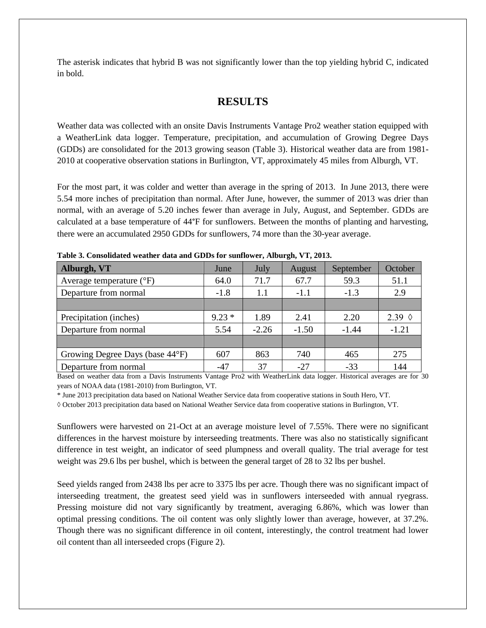The asterisk indicates that hybrid B was not significantly lower than the top yielding hybrid C, indicated in bold.

# **RESULTS**

Weather data was collected with an onsite Davis Instruments Vantage Pro2 weather station equipped with a WeatherLink data logger. Temperature, precipitation, and accumulation of Growing Degree Days (GDDs) are consolidated for the 2013 growing season (Table 3). Historical weather data are from 1981- 2010 at cooperative observation stations in Burlington, VT, approximately 45 miles from Alburgh, VT.

For the most part, it was colder and wetter than average in the spring of 2013. In June 2013, there were 5.54 more inches of precipitation than normal. After June, however, the summer of 2013 was drier than normal, with an average of 5.20 inches fewer than average in July, August, and September. GDDs are calculated at a base temperature of 44°F for sunflowers. Between the months of planting and harvesting, there were an accumulated 2950 GDDs for sunflowers, 74 more than the 30-year average.

| Alburgh, VT                         | June    | July    | August  | September | October         |
|-------------------------------------|---------|---------|---------|-----------|-----------------|
| Average temperature $({}^{\circ}F)$ | 64.0    | 71.7    | 67.7    | 59.3      | 51.1            |
| Departure from normal               | $-1.8$  | 1.1     | $-1.1$  | $-1.3$    |                 |
|                                     |         |         |         |           |                 |
| Precipitation (inches)              | $9.23*$ | 1.89    | 2.41    | 2.20      | 2.39 $\Diamond$ |
| Departure from normal               | 5.54    | $-2.26$ | $-1.50$ | $-1.44$   | $-1.21$         |
|                                     |         |         |         |           |                 |
| Growing Degree Days (base 44°F)     | 607     | 863     | 740     | 465       | 275             |
| Departure from normal               | $-47$   | 37      | $-27$   | $-33$     | 144             |

**Table 3. Consolidated weather data and GDDs for sunflower, Alburgh, VT, 2013.**

Based on weather data from a Davis Instruments Vantage Pro2 with WeatherLink data logger. Historical averages are for 30 years of NOAA data (1981-2010) from Burlington, VT.

\* June 2013 precipitation data based on National Weather Service data from cooperative stations in South Hero, VT.

◊ October 2013 precipitation data based on National Weather Service data from cooperative stations in Burlington, VT.

Sunflowers were harvested on 21-Oct at an average moisture level of 7.55%. There were no significant differences in the harvest moisture by interseeding treatments. There was also no statistically significant difference in test weight, an indicator of seed plumpness and overall quality. The trial average for test weight was 29.6 lbs per bushel, which is between the general target of 28 to 32 lbs per bushel.

Seed yields ranged from 2438 lbs per acre to 3375 lbs per acre. Though there was no significant impact of interseeding treatment, the greatest seed yield was in sunflowers interseeded with annual ryegrass. Pressing moisture did not vary significantly by treatment, averaging 6.86%, which was lower than optimal pressing conditions. The oil content was only slightly lower than average, however, at 37.2%. Though there was no significant difference in oil content, interestingly, the control treatment had lower oil content than all interseeded crops (Figure 2).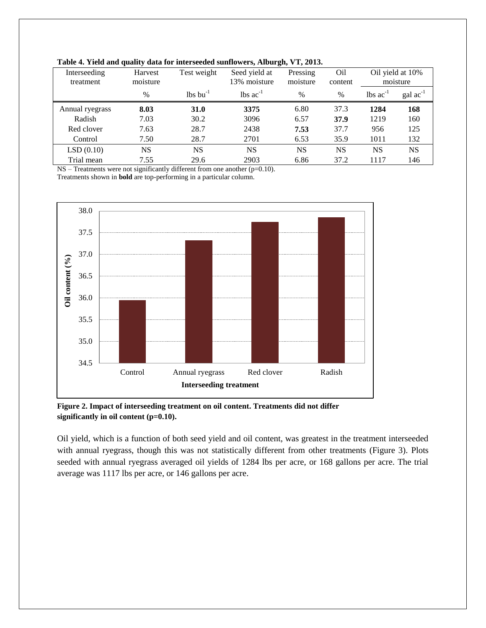|                           | $\cdot$             |                                    |                               | $\bullet$            |                            |                               |                      |
|---------------------------|---------------------|------------------------------------|-------------------------------|----------------------|----------------------------|-------------------------------|----------------------|
| Interseeding<br>treatment | Harvest<br>moisture | Test weight                        | Seed yield at<br>13% moisture | Pressing<br>moisture | O <sub>il</sub><br>content | Oil yield at 10%<br>moisture  |                      |
|                           | $\%$                | $\frac{1}{2}$ lbs bu <sup>-1</sup> | $\text{lbs}$ ac <sup>-1</sup> | $\%$                 | $\%$                       | $\text{lbs}$ ac <sup>-1</sup> | $\text{gal ac}^{-1}$ |
| Annual ryegrass           | 8.03                | 31.0                               | 3375                          | 6.80                 | 37.3                       | 1284                          | 168                  |
| Radish                    | 7.03                | 30.2                               | 3096                          | 6.57                 | 37.9                       | 1219                          | 160                  |
| Red clover                | 7.63                | 28.7                               | 2438                          | 7.53                 | 37.7                       | 956                           | 125                  |
| Control                   | 7.50                | 28.7                               | 2701                          | 6.53                 | 35.9                       | 1011                          | 132                  |
| LSD(0.10)                 | NS                  | NS                                 | <b>NS</b>                     | NS                   | NS                         | NS                            | <b>NS</b>            |
| Trial mean                | 7.55                | 29.6                               | 2903                          | 6.86                 | 37.2                       | 1117                          | 146                  |
|                           |                     |                                    |                               |                      |                            |                               |                      |

**Table 4. Yield and quality data for interseeded sunflowers, Alburgh, VT, 2013.**

NS – Treatments were not significantly different from one another (p=0.10).

Treatments shown in **bold** are top-performing in a particular column.



**Figure 2. Impact of interseeding treatment on oil content. Treatments did not differ significantly in oil content (p=0.10).**

Oil yield, which is a function of both seed yield and oil content, was greatest in the treatment interseeded with annual ryegrass, though this was not statistically different from other treatments (Figure 3). Plots seeded with annual ryegrass averaged oil yields of 1284 lbs per acre, or 168 gallons per acre. The trial average was 1117 lbs per acre, or 146 gallons per acre.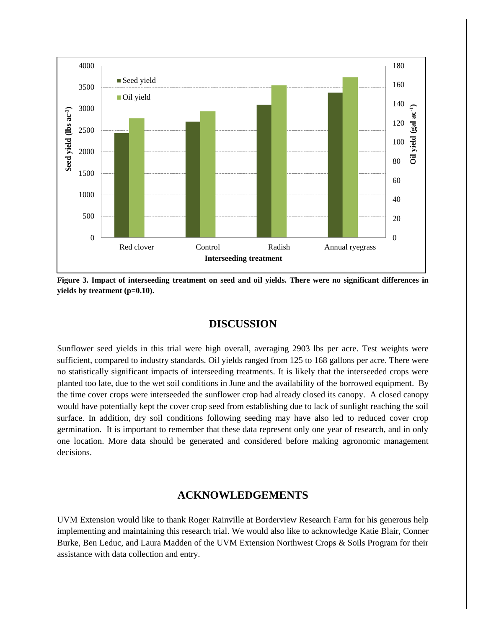

**Figure 3. Impact of interseeding treatment on seed and oil yields. There were no significant differences in yields by treatment (p=0.10).**

## **DISCUSSION**

Sunflower seed yields in this trial were high overall, averaging 2903 lbs per acre. Test weights were sufficient, compared to industry standards. Oil yields ranged from 125 to 168 gallons per acre. There were no statistically significant impacts of interseeding treatments. It is likely that the interseeded crops were planted too late, due to the wet soil conditions in June and the availability of the borrowed equipment. By the time cover crops were interseeded the sunflower crop had already closed its canopy. A closed canopy would have potentially kept the cover crop seed from establishing due to lack of sunlight reaching the soil surface. In addition, dry soil conditions following seeding may have also led to reduced cover crop germination. It is important to remember that these data represent only one year of research, and in only one location. More data should be generated and considered before making agronomic management decisions.

#### **ACKNOWLEDGEMENTS**

UVM Extension would like to thank Roger Rainville at Borderview Research Farm for his generous help implementing and maintaining this research trial. We would also like to acknowledge Katie Blair, Conner Burke, Ben Leduc, and Laura Madden of the UVM Extension Northwest Crops & Soils Program for their assistance with data collection and entry.